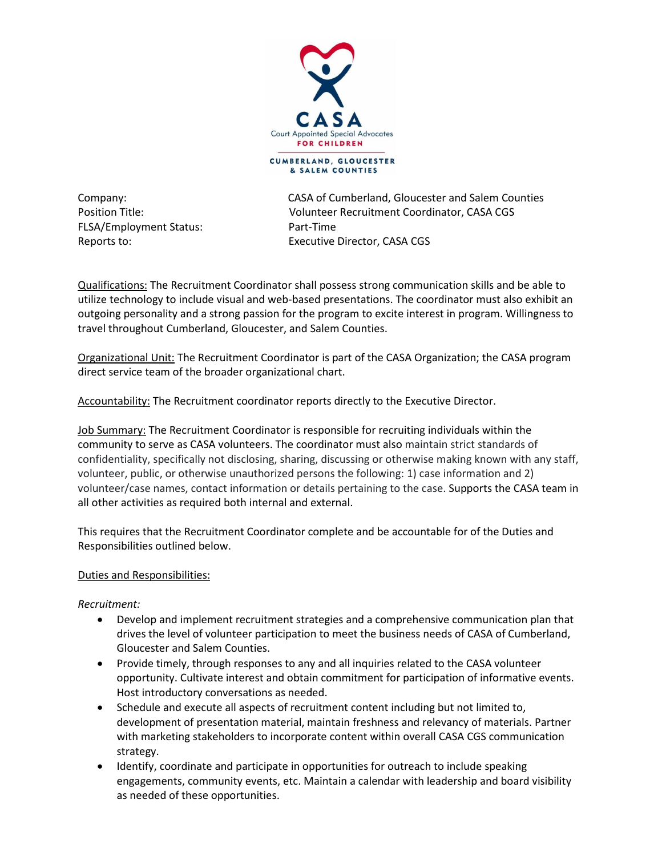

& SALEM COUNTIES

FLSA/Employment Status: Part-Time

Company: CASA of Cumberland, Gloucester and Salem Counties Position Title: Volunteer Recruitment Coordinator, CASA CGS Reports to: Executive Director, CASA CGS

Qualifications: The Recruitment Coordinator shall possess strong communication skills and be able to utilize technology to include visual and web-based presentations. The coordinator must also exhibit an outgoing personality and a strong passion for the program to excite interest in program. Willingness to travel throughout Cumberland, Gloucester, and Salem Counties.

Organizational Unit: The Recruitment Coordinator is part of the CASA Organization; the CASA program direct service team of the broader organizational chart.

Accountability: The Recruitment coordinator reports directly to the Executive Director.

Job Summary: The Recruitment Coordinator is responsible for recruiting individuals within the community to serve as CASA volunteers. The coordinator must also maintain strict standards of confidentiality, specifically not disclosing, sharing, discussing or otherwise making known with any staff, volunteer, public, or otherwise unauthorized persons the following: 1) case information and 2) volunteer/case names, contact information or details pertaining to the case. Supports the CASA team in all other activities as required both internal and external.

This requires that the Recruitment Coordinator complete and be accountable for of the Duties and Responsibilities outlined below.

# Duties and Responsibilities:

## *Recruitment:*

- Develop and implement recruitment strategies and a comprehensive communication plan that drives the level of volunteer participation to meet the business needs of CASA of Cumberland, Gloucester and Salem Counties.
- Provide timely, through responses to any and all inquiries related to the CASA volunteer opportunity. Cultivate interest and obtain commitment for participation of informative events. Host introductory conversations as needed.
- Schedule and execute all aspects of recruitment content including but not limited to, development of presentation material, maintain freshness and relevancy of materials. Partner with marketing stakeholders to incorporate content within overall CASA CGS communication strategy.
- Identify, coordinate and participate in opportunities for outreach to include speaking engagements, community events, etc. Maintain a calendar with leadership and board visibility as needed of these opportunities.